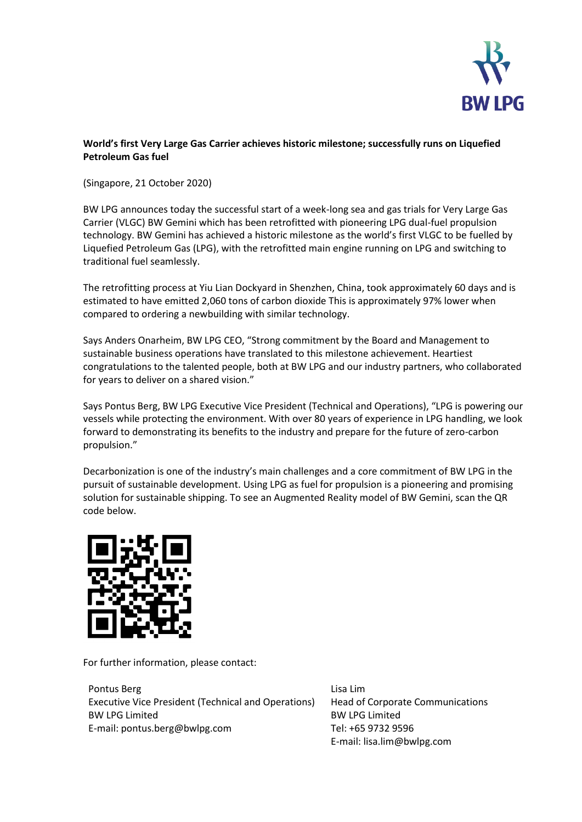

## **World's first Very Large Gas Carrier achieves historic milestone; successfully runs on Liquefied Petroleum Gas fuel**

(Singapore, 21 October 2020)

BW LPG announces today the successful start of a week-long sea and gas trials for Very Large Gas Carrier (VLGC) BW Gemini which has been retrofitted with pioneering LPG dual-fuel propulsion technology. BW Gemini has achieved a historic milestone as the world's first VLGC to be fuelled by Liquefied Petroleum Gas (LPG), with the retrofitted main engine running on LPG and switching to traditional fuel seamlessly.

The retrofitting process at Yiu Lian Dockyard in Shenzhen, China, took approximately 60 days and is estimated to have emitted 2,060 tons of carbon dioxide This is approximately 97% lower when compared to ordering a newbuilding with similar technology.

Says Anders Onarheim, BW LPG CEO, "Strong commitment by the Board and Management to sustainable business operations have translated to this milestone achievement. Heartiest congratulations to the talented people, both at BW LPG and our industry partners, who collaborated for years to deliver on a shared vision."

Says Pontus Berg, BW LPG Executive Vice President (Technical and Operations), "LPG is powering our vessels while protecting the environment. With over 80 years of experience in LPG handling, we look forward to demonstrating its benefits to the industry and prepare for the future of zero-carbon propulsion."

Decarbonization is one of the industry's main challenges and a core commitment of BW LPG in the pursuit of sustainable development. Using LPG as fuel for propulsion is a pioneering and promising solution for sustainable shipping. To see an Augmented Reality model of BW Gemini, scan the QR code below.



For further information, please contact:

Pontus Berg Executive Vice President (Technical and Operations) BW LPG Limited E-mail: pontus.berg@bwlpg.com

Lisa Lim Head of Corporate Communications BW LPG Limited Tel: +65 9732 9596 E-mail: lisa.lim@bwlpg.com